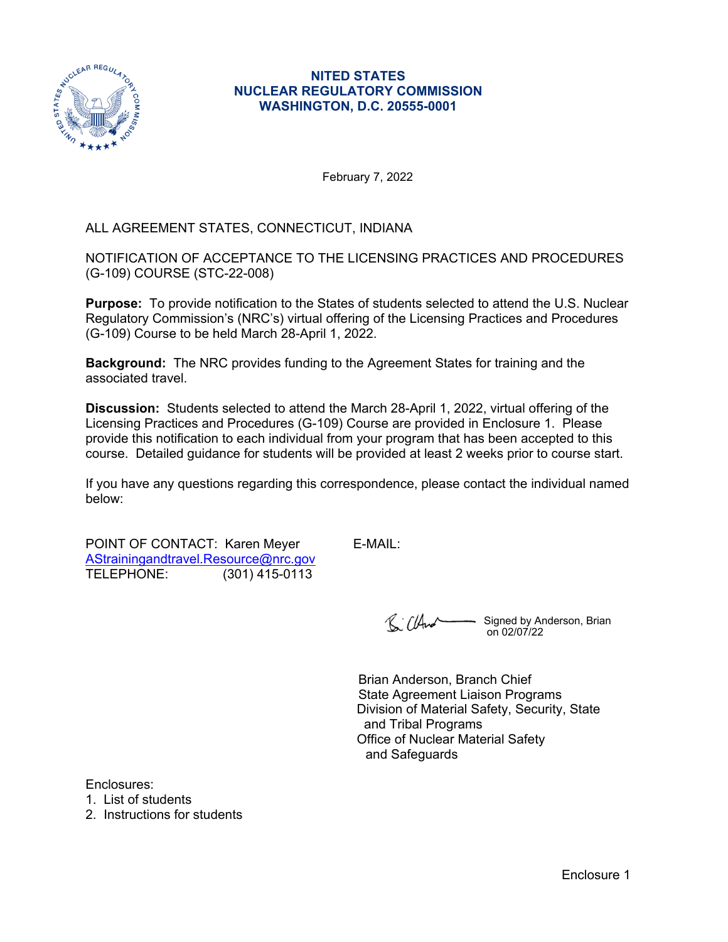

### **NITED STATES NUCLEAR REGULATORY COMMISSION WASHINGTON, D.C. 20555-0001**

February 7, 2022

## ALL AGREEMENT STATES, CONNECTICUT, INDIANA

NOTIFICATION OF ACCEPTANCE TO THE LICENSING PRACTICES AND PROCEDURES (G-109) COURSE (STC-22-008)

**Purpose:** To provide notification to the States of students selected to attend the U.S. Nuclear Regulatory Commission's (NRC's) virtual offering of the Licensing Practices and Procedures (G-109) Course to be held March 28-April 1, 2022.

**Background:** The NRC provides funding to the Agreement States for training and the associated travel.

**Discussion:** Students selected to attend the March 28-April 1, 2022, virtual offering of the Licensing Practices and Procedures (G-109) Course are provided in Enclosure 1. Please provide this notification to each individual from your program that has been accepted to this course. Detailed guidance for students will be provided at least 2 weeks prior to course start.

If you have any questions regarding this correspondence, please contact the individual named below:

POINT OF CONTACT: Karen Meyer E-MAIL: [AStrainingandtravel.Resource@nrc.gov](mailto:AStrainingandtravel.Resource@nrc.gov) TELEPHONE: (301) 415-0113

R. ClAnd - Signed by Anderson, Brian on 02/07/22

Brian Anderson, Branch Chief State Agreement Liaison Programs Division of Material Safety, Security, State and Tribal Programs Office of Nuclear Material Safety and Safeguards

Enclosures:

1. List of students

2. Instructions for students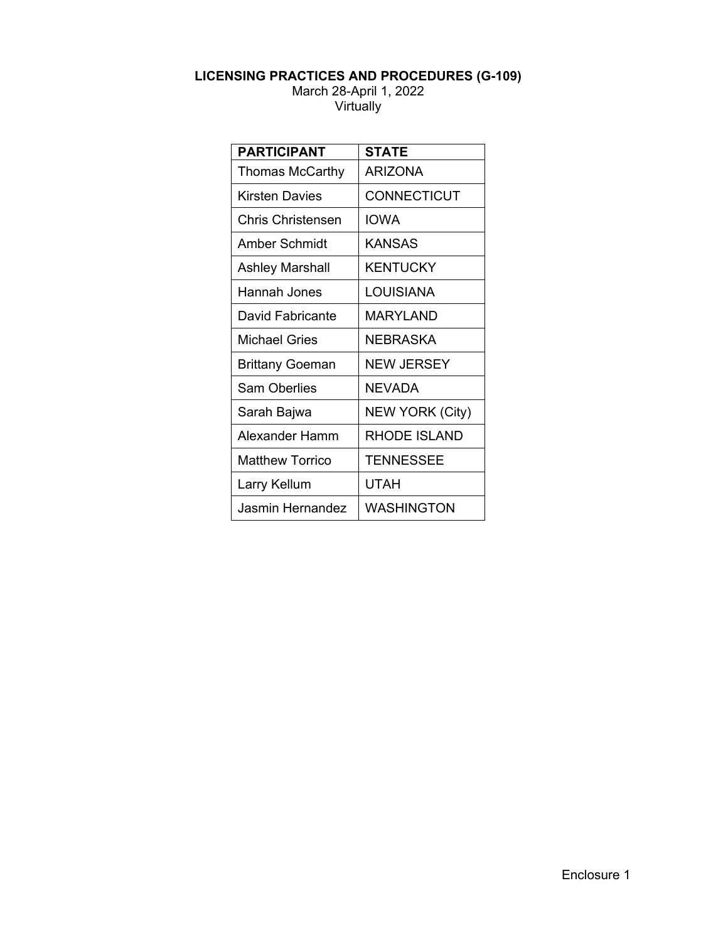#### **LICENSING PRACTICES AND PROCEDURES (G-109)**

March 28-April 1, 2022 Virtually

| <b>PARTICIPANT</b>     | STATE                  |  |  |
|------------------------|------------------------|--|--|
| Thomas McCarthy        | ARIZONA                |  |  |
| Kirsten Davies         | <b>CONNECTICUT</b>     |  |  |
| Chris Christensen      | IOWA                   |  |  |
| Amber Schmidt          | KANSAS                 |  |  |
| <b>Ashley Marshall</b> | <b>KENTUCKY</b>        |  |  |
| Hannah Jones           | LOUISIANA              |  |  |
| David Fabricante       | <b>MARYI AND</b>       |  |  |
| <b>Michael Gries</b>   | NEBRASKA               |  |  |
| <b>Brittany Goeman</b> | <b>NEW JERSEY</b>      |  |  |
| <b>Sam Oberlies</b>    | <b>NEVADA</b>          |  |  |
| Sarah Bajwa            | <b>NEW YORK (City)</b> |  |  |
| Alexander Hamm         | <b>RHODE ISLAND</b>    |  |  |
| <b>Matthew Torrico</b> | TENNESSEE              |  |  |
| Larry Kellum           | UTAH                   |  |  |
| Jasmin Hernandez       | <b>WASHINGTON</b>      |  |  |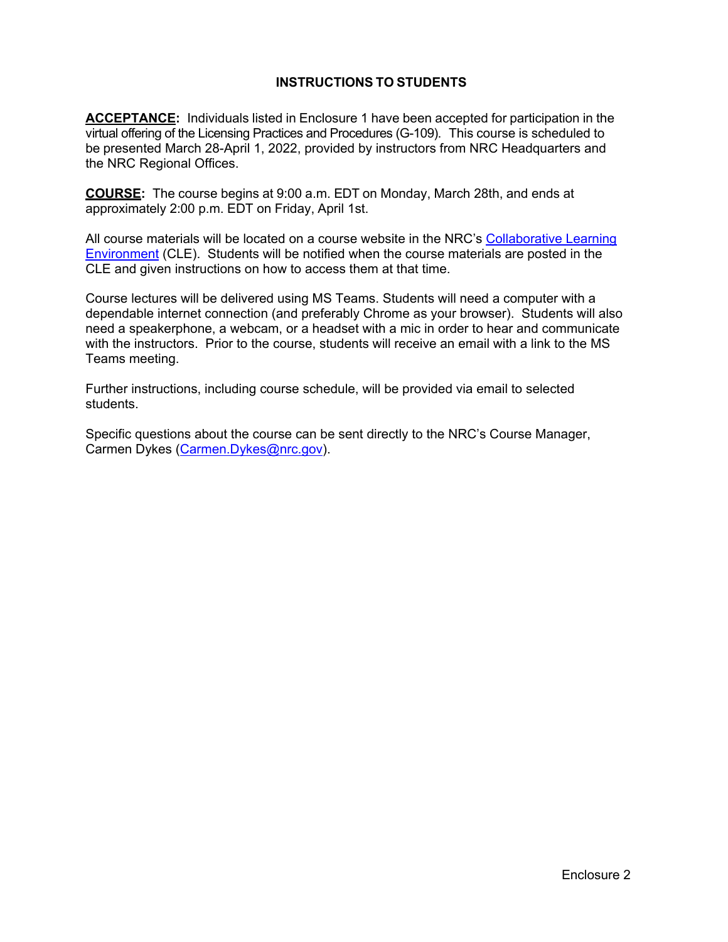## **INSTRUCTIONS TO STUDENTS**

**ACCEPTANCE:** Individuals listed in Enclosure 1 have been accepted for participation in the virtual offering of the Licensing Practices and Procedures (G-109). This course is scheduled to be presented March 28-April 1, 2022, provided by instructors from NRC Headquarters and the NRC Regional Offices.

**COURSE:** The course begins at 9:00 a.m. EDT on Monday, March 28th, and ends at approximately 2:00 p.m. EDT on Friday, April 1st.

All course materials will be located on a course website in the NRC's [Collaborative Learning](https://nrc.usalearning.net/login/index.php)  [Environment](https://nrc.usalearning.net/login/index.php) (CLE). Students will be notified when the course materials are posted in the CLE and given instructions on how to access them at that time.

Course lectures will be delivered using MS Teams. Students will need a computer with a dependable internet connection (and preferably Chrome as your browser). Students will also need a speakerphone, a webcam, or a headset with a mic in order to hear and communicate with the instructors. Prior to the course, students will receive an email with a link to the MS Teams meeting.

Further instructions, including course schedule, will be provided via email to selected students.

Specific questions about the course can be sent directly to the NRC's Course Manager, Carmen Dykes [\(Carmen.Dykes@nrc.gov](mailto:Carmen.Dykes@nrc.gov)).